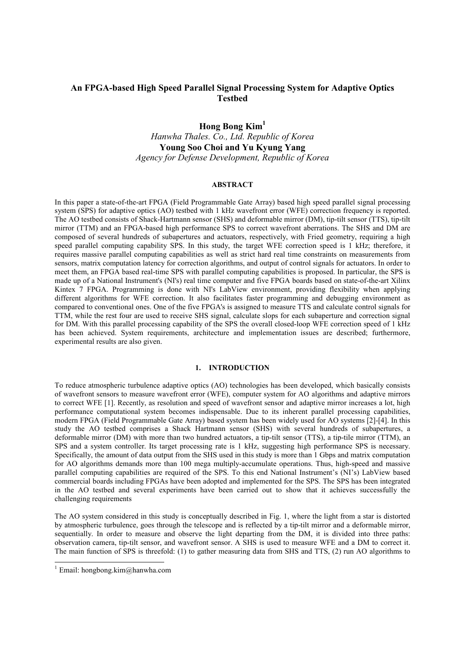# **An FPGA-based High Speed Parallel Signal Processing System for Adaptive Optics Testbed**

# **Hong Bong Kim<sup>1</sup>** *Hanwha Thales. Co., Ltd. Republic of Korea* **Young Soo Choi and Yu Kyung Yang** *Agency for Defense Development, Republic of Korea*

#### **ABSTRACT**

In this paper a state-of-the-art FPGA (Field Programmable Gate Array) based high speed parallel signal processing system (SPS) for adaptive optics (AO) testbed with 1 kHz wavefront error (WFE) correction frequency is reported. The AO testbed consists of Shack-Hartmann sensor (SHS) and deformable mirror (DM), tip-tilt sensor (TTS), tip-tilt mirror (TTM) and an FPGA-based high performance SPS to correct wavefront aberrations. The SHS and DM are composed of several hundreds of subapertures and actuators, respectively, with Fried geometry, requiring a high speed parallel computing capability SPS. In this study, the target WFE correction speed is 1 kHz; therefore, it requires massive parallel computing capabilities as well as strict hard real time constraints on measurements from sensors, matrix computation latency for correction algorithms, and output of control signals for actuators. In order to meet them, an FPGA based real-time SPS with parallel computing capabilities is proposed. In particular, the SPS is made up of a National Instrument's (NI's) real time computer and five FPGA boards based on state-of-the-art Xilinx Kintex 7 FPGA. Programming is done with NI's LabView environment, providing flexibility when applying different algorithms for WFE correction. It also facilitates faster programming and debugging environment as compared to conventional ones. One of the five FPGA's is assigned to measure TTS and calculate control signals for TTM, while the rest four are used to receive SHS signal, calculate slops for each subaperture and correction signal for DM. With this parallel processing capability of the SPS the overall closed-loop WFE correction speed of 1 kHz has been achieved. System requirements, architecture and implementation issues are described; furthermore, experimental results are also given.

#### **1. INTRODUCTION**

To reduce atmospheric turbulence adaptive optics (AO) technologies has been developed, which basically consists of wavefront sensors to measure wavefront error (WFE), computer system for AO algorithms and adaptive mirrors to correct WFE [1]. Recently, as resolution and speed of wavefront sensor and adaptive mirror increases a lot, high performance computational system becomes indispensable. Due to its inherent parallel processing capabilities, modern FPGA (Field Programmable Gate Array) based system has been widely used for AO systems [2]-[4]. In this study the AO testbed comprises a Shack Hartmann sensor (SHS) with several hundreds of subapertures, a deformable mirror (DM) with more than two hundred actuators, a tip-tilt sensor (TTS), a tip-tile mirror (TTM), an SPS and a system controller. Its target processing rate is 1 kHz, suggesting high performance SPS is necessary. Specifically, the amount of data output from the SHS used in this study is more than 1 Gbps and matrix computation for AO algorithms demands more than 100 mega multiply-accumulate operations. Thus, high-speed and massive parallel computing capabilities are required of the SPS. To this end National Instrument's (NI's) LabView based commercial boards including FPGAs have been adopted and implemented for the SPS. The SPS has been integrated in the AO testbed and several experiments have been carried out to show that it achieves successfully the challenging requirements

The AO system considered in this study is conceptually described in Fig. 1, where the light from a star is distorted by atmospheric turbulence, goes through the telescope and is reflected by a tip-tilt mirror and a deformable mirror, sequentially. In order to measure and observe the light departing from the DM, it is divided into three paths: observation camera, tip-tilt sensor, and wavefront sensor. A SHS is used to measure WFE and a DM to correct it. The main function of SPS is threefold: (1) to gather measuring data from SHS and TTS, (2) run AO algorithms to

<sup>&</sup>lt;sup>1</sup> Email: hongbong.kim@hanwha.com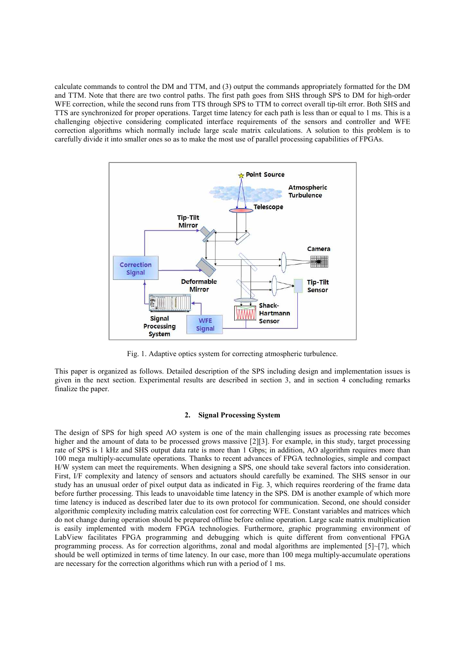calculate commands to control the DM and TTM, and (3) output the commands appropriately formatted for the DM and TTM. Note that there are two control paths. The first path goes from SHS through SPS to DM for high-order WFE correction, while the second runs from TTS through SPS to TTM to correct overall tip-tilt error. Both SHS and TTS are synchronized for proper operations. Target time latency for each path is less than or equal to 1 ms. This is a challenging objective considering complicated interface requirements of the sensors and controller and WFE correction algorithms which normally include large scale matrix calculations. A solution to this problem is to carefully divide it into smaller ones so as to make the most use of parallel processing capabilities of FPGAs.



Fig. 1. Adaptive optics system for correcting atmospheric turbulence.

This paper is organized as follows. Detailed description of the SPS including design and implementation issues is given in the next section. Experimental results are described in section 3, and in section 4 concluding remarks finalize the paper.

#### **2. Signal Processing System**

The design of SPS for high speed AO system is one of the main challenging issues as processing rate becomes higher and the amount of data to be processed grows massive [2][3]. For example, in this study, target processing rate of SPS is 1 kHz and SHS output data rate is more than 1 Gbps; in addition, AO algorithm requires more than 100 mega multiply-accumulate operations. Thanks to recent advances of FPGA technologies, simple and compact H/W system can meet the requirements. When designing a SPS, one should take several factors into consideration. First, I/F complexity and latency of sensors and actuators should carefully be examined. The SHS sensor in our study has an unusual order of pixel output data as indicated in Fig. 3, which requires reordering of the frame data before further processing. This leads to unavoidable time latency in the SPS. DM is another example of which more time latency is induced as described later due to its own protocol for communication. Second, one should consider algorithmic complexity including matrix calculation cost for correcting WFE. Constant variables and matrices which do not change during operation should be prepared offline before online operation. Large scale matrix multiplication is easily implemented with modern FPGA technologies. Furthermore, graphic programming environment of LabView facilitates FPGA programming and debugging which is quite different from conventional FPGA programming process. As for correction algorithms, zonal and modal algorithms are implemented [5]~[7], which should be well optimized in terms of time latency. In our case, more than 100 mega multiply-accumulate operations are necessary for the correction algorithms which run with a period of 1 ms.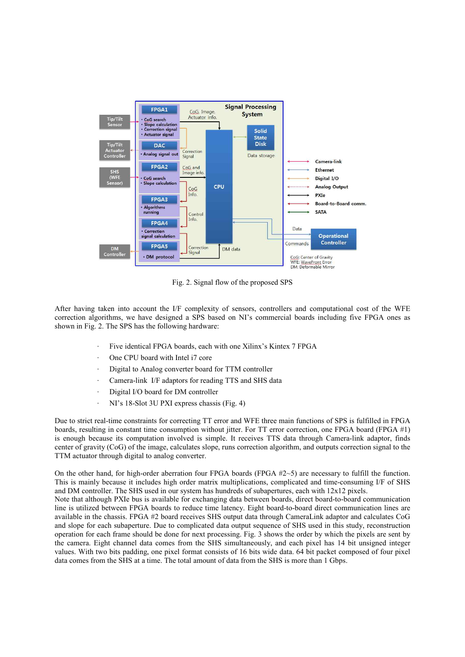

Fig. 2. Signal flow of the proposed SPS

After having taken into account the I/F complexity of sensors, controllers and computational cost of the WFE correction algorithms, we have designed a SPS based on NI's commercial boards including five FPGA ones as shown in Fig. 2. The SPS has the following hardware:

- Five identical FPGA boards, each with one Xilinx's Kintex 7 FPGA
- One CPU board with Intel i7 core
- Digital to Analog converter board for TTM controller
- Camera-link I/F adaptors for reading TTS and SHS data
- Digital I/O board for DM controller
- · NI's 18-Slot 3U PXI express chassis (Fig. 4)

Due to strict real-time constraints for correcting TT error and WFE three main functions of SPS is fulfilled in FPGA boards, resulting in constant time consumption without jitter. For TT error correction, one FPGA board (FPGA #1) is enough because its computation involved is simple. It receives TTS data through Camera-link adaptor, finds center of gravity (CoG) of the image, calculates slope, runs correction algorithm, and outputs correction signal to the TTM actuator through digital to analog converter.

On the other hand, for high-order aberration four FPGA boards (FPGA  $\#2\sim$ 5) are necessary to fulfill the function. This is mainly because it includes high order matrix multiplications, complicated and time-consuming I/F of SHS and DM controller. The SHS used in our system has hundreds of subapertures, each with  $12x12$  pixels.

Note that although PXIe bus is available for exchanging data between boards, direct board-to-board communication line is utilized between FPGA boards to reduce time latency. Eight board-to-board direct communication lines are available in the chassis. FPGA #2 board receives SHS output data through CameraLink adaptor and calculates CoG and slope for each subaperture. Due to complicated data output sequence of SHS used in this study, reconstruction operation for each frame should be done for next processing. Fig. 3 shows the order by which the pixels are sent by the camera. Eight channel data comes from the SHS simultaneously, and each pixel has 14 bit unsigned integer values. With two bits padding, one pixel format consists of 16 bits wide data. 64 bit packet composed of four pixel data comes from the SHS at a time. The total amount of data from the SHS is more than 1 Gbps.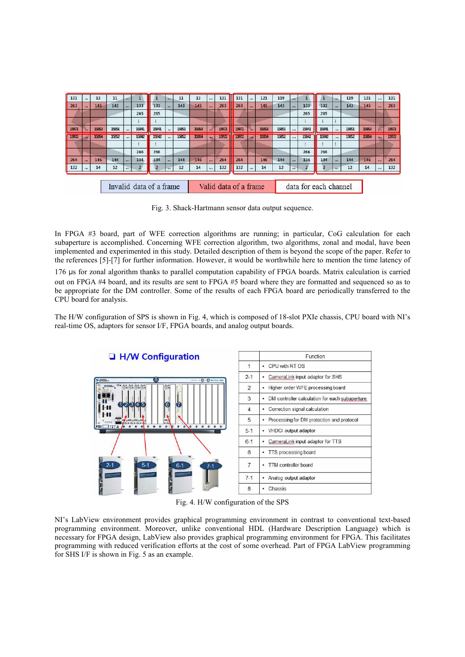| 131   | Уm | 13                      | 11    | 1999          |              |                | <b>MAY</b> | 11    | 13                    | <b>Section</b> | 131   | 131          | <b>ALC</b> | 121   | 119   | <b>MAR</b>            |       |       | <b>DOM:</b> | 119   | 121   | <b>Second</b> | 131   |
|-------|----|-------------------------|-------|---------------|--------------|----------------|------------|-------|-----------------------|----------------|-------|--------------|------------|-------|-------|-----------------------|-------|-------|-------------|-------|-------|---------------|-------|
| 263   |    | 145                     | 143   | $\cdots$      | 133          | 133            | v.         | 143   | 145                   | $\cdots$       | 263   | 263          |            | 145   | 143   |                       | 133   | 133   |             | 143   | 145   |               | 263   |
|       |    |                         |       |               | 265          | 265            |            |       |                       |                |       |              |            |       |       |                       | 265   | 265   |             |       |       |               |       |
|       |    |                         |       |               |              |                |            |       |                       |                |       |              |            |       |       |                       |       |       |             |       |       |               |       |
| 15971 |    | 15853                   | 15851 |               | 15841        | 15841          |            | 15851 | 15853                 |                | 15971 | <b>19971</b> |            | 15853 | 15851 | $-11$                 | 15841 | 15841 |             | 15851 | 15853 |               | 19971 |
| 11972 |    | 15854                   | 15852 |               | 15842        | 15842          |            | 15852 | 15854                 | in.            | 15972 | 15972        | W.         | 15854 | 15852 | <b>SALE</b>           | 15842 | 15842 | $\sim$      | 15852 | 15854 |               | 15972 |
|       |    |                         |       |               |              |                |            |       |                       |                |       |              |            |       |       |                       |       |       |             |       |       |               |       |
|       |    |                         |       |               | 266          | 266            |            |       |                       |                |       |              |            |       |       |                       | 266   | 266   |             |       |       |               |       |
| 264   | m  | 146                     | 144   | $\frac{1}{2}$ | 134          | 134            | See.       | 144   | 146                   | 1000           | 264   | 264          |            | 146   | 144   |                       | 134   | 134   |             | 144   | 146   |               | 264   |
| 132   |    | 14                      | 12    | vee:          | $\mathbf{z}$ | $\overline{2}$ | $***$      | 12    | 14                    | 1000           | 132   | 132          | $\cdots$   | 14    | 12    |                       |       |       | $\ddotsc$   | 12    | 14    |               | 132   |
|       |    |                         |       |               |              |                |            |       |                       |                |       |              |            |       |       |                       |       |       |             |       |       |               |       |
|       |    | Invalid data of a frame |       |               |              |                |            |       | Valid data of a frame |                |       |              |            |       |       | data for each channel |       |       |             |       |       |               |       |

Fig. 3. Shack-Hartmann sensor data output sequence.

In FPGA #3 board, part of WFE correction algorithms are running; in particular, CoG calculation for each subaperture is accomplished. Concerning WFE correction algorithm, two algorithms, zonal and modal, have been implemented and experimented in this study. Detailed description of them is beyond the scope of the paper. Refer to the references [5]-[7] for further information. However, it would be worthwhile here to mention the time latency of 176 μs for zonal algorithm thanks to parallel computation capability of FPGA boards. Matrix calculation is carried out on FPGA #4 board, and its results are sent to FPGA #5 board where they are formatted and sequenced so as to be appropriate for the DM controller. Some of the results of each FPGA board are periodically transferred to the CPU board for analysis.

The H/W configuration of SPS is shown in Fig. 4, which is composed of 18-slot PXIe chassis, CPU board with NI's real-time OS, adaptors for sensor I/F, FPGA boards, and analog output boards.



Fig. 4. H/W configuration of the SPS

NI's LabView environment provides graphical programming environment in contrast to conventional text-based programming environment. Moreover, unlike conventional HDL (Hardware Description Language) which is necessary for FPGA design, LabView also provides graphical programming environment for FPGA. This facilitates programming with reduced verification efforts at the cost of some overhead. Part of FPGA LabView programming for SHS I/F is shown in Fig. 5 as an example.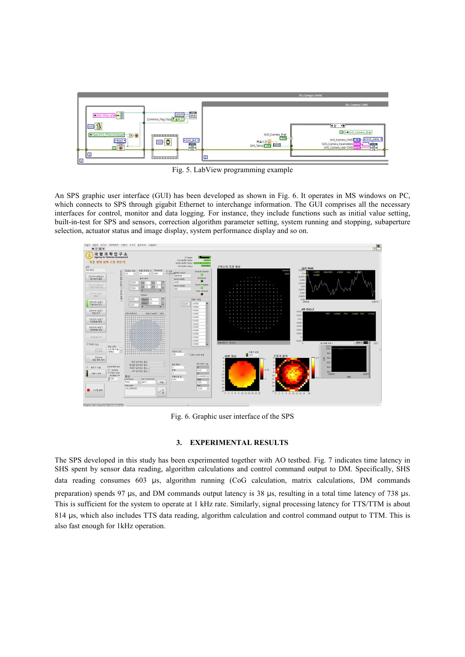

Fig. 5. LabView programming example

An SPS graphic user interface (GUI) has been developed as shown in Fig. 6. It operates in MS windows on PC, which connects to SPS through gigabit Ethernet to interchange information. The GUI comprises all the necessary interfaces for control, monitor and data logging. For instance, they include functions such as initial value setting, built-in-test for SPS and sensors, correction algorithm parameter setting, system running and stopping, subaperture selection, actuator status and image display, system performance display and so on.



Fig. 6. Graphic user interface of the SPS

## **3. EXPERIMENTAL RESULTS**

The SPS developed in this study has been experimented together with AO testbed. Fig. 7 indicates time latency in SHS spent by sensor data reading, algorithm calculations and control command output to DM. Specifically, SHS data reading consumes 603 μs, algorithm running (CoG calculation, matrix calculations, DM commands preparation) spends 97 μs, and DM commands output latency is 38 μs, resulting in a total time latency of 738 μs. This is sufficient for the system to operate at 1 kHz rate. Similarly, signal processing latency for TTS/TTM is about 814 μs, which also includes TTS data reading, algorithm calculation and control command output to TTM. This is also fast enough for 1kHz operation.